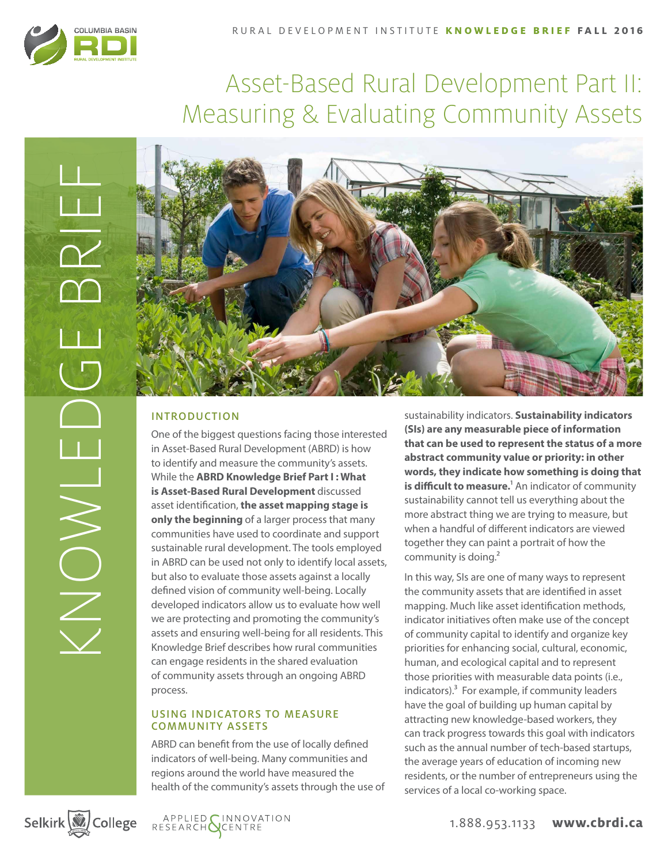

# Asset-Based Rural Development Part II: Measuring & Evaluating Community Assets



# INTRODUCTION

One of the biggest questions facing those interested in Asset-Based Rural Development (ABRD) is how to identify and measure the community's assets. While the **ABRD Knowledge Brief Part I : What is Asset-Based Rural Development** discussed asset identification, **the asset mapping stage is only the beginning** of a larger process that many communities have used to coordinate and support sustainable rural development. The tools employed in ABRD can be used not only to identify local assets, but also to evaluate those assets against a locally defined vision of community well-being. Locally developed indicators allow us to evaluate how well we are protecting and promoting the community's assets and ensuring well-being for all residents. This Knowledge Brief describes how rural communities can engage residents in the shared evaluation of community assets through an ongoing ABRD process.

# USING INDICATORS TO MEASURE COMMUNITY ASSETS

ABRD can benefit from the use of locally defined indicators of well-being. Many communities and regions around the world have measured the health of the community's assets through the use of

sustainability indicators. **Sustainability indicators (SIs) are any measurable piece of information that can be used to represent the status of a more abstract community value or priority: in other words, they indicate how something is doing that is difficult to measure.**<sup>1</sup> An indicator of community sustainability cannot tell us everything about the more abstract thing we are trying to measure, but when a handful of different indicators are viewed together they can paint a portrait of how the community is doing.<sup>2</sup>

In this way, SIs are one of many ways to represent the community assets that are identified in asset mapping. Much like asset identification methods, indicator initiatives often make use of the concept of community capital to identify and organize key priorities for enhancing social, cultural, economic, human, and ecological capital and to represent those priorities with measurable data points (i.e., indicators). $3$  For example, if community leaders have the goal of building up human capital by attracting new knowledge-based workers, they can track progress towards this goal with indicators such as the annual number of tech-based startups, the average years of education of incoming new residents, or the number of entrepreneurs using the services of a local co-working space.

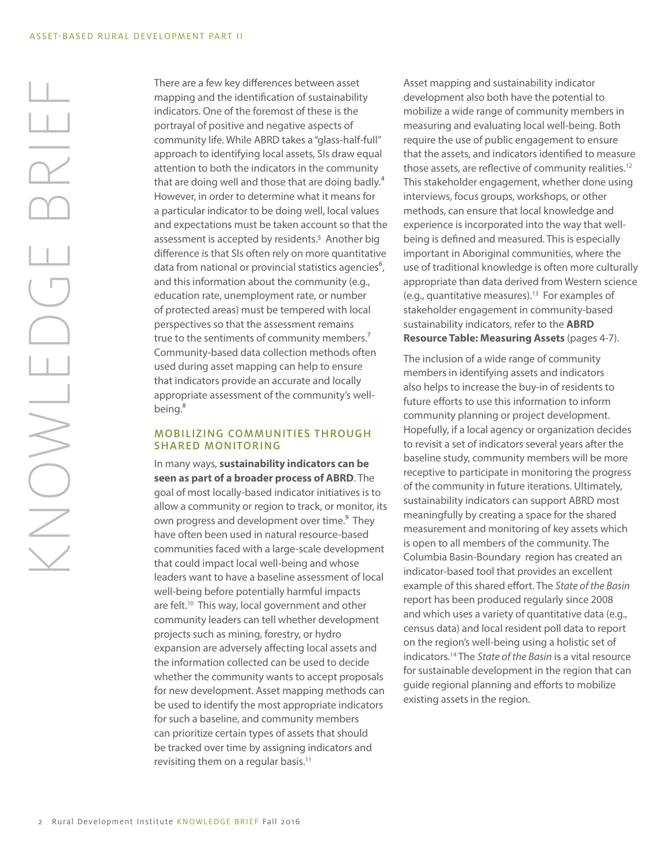There are a few key differences between asset mapping and the identification of sustainability indicators. One of the foremost of these is the portrayal of positive and negative aspects of community life. While ABRD takes a "glass-half-full" approach to identifying local assets, SIs draw equal attention to both the indicators in the community that are doing well and those that are doing badly.<sup>4</sup> However, in order to determine what it means for a particular indicator to be doing well, local values and expectations must be taken account so that the assessment is accepted by residents.<sup>5</sup> Another big difference is that SIs often rely on more quantitative data from national or provincial statistics agencies<sup>6</sup>, and this information about the community (e.g., education rate, unemployment rate, or number of protected areas) must be tempered with local perspectives so that the assessment remains true to the sentiments of community members.<sup>7</sup> Community-based data collection methods often used during asset mapping can help to ensure that indicators provide an accurate and locally appropriate assessment of the community's wellbeing.<sup>8</sup>

## MOBILIZING COMMUNITIES THROUGH SHARED MONITORING

In many ways, **sustainability indicators can be seen as part of a broader process of ABRD**. The goal of most locally-based indicator initiatives is to allow a community or region to track, or monitor, its own progress and development over time.<sup>9</sup> They have often been used in natural resource-based communities faced with a large-scale development that could impact local well-being and whose leaders want to have a baseline assessment of local well-being before potentially harmful impacts are felt.<sup>10</sup> This way, local government and other community leaders can tell whether development projects such as mining, forestry, or hydro expansion are adversely affecting local assets and the information collected can be used to decide whether the community wants to accept proposals for new development. Asset mapping methods can be used to identify the most appropriate indicators for such a baseline, and community members can prioritize certain types of assets that should be tracked over time by assigning indicators and revisiting them on a regular basis.<sup>11</sup>

Asset mapping and sustainability indicator development also both have the potential to mobilize a wide range of community members in measuring and evaluating local well-being. Both require the use of public engagement to ensure that the assets, and indicators identified to measure those assets, are reflective of community realities.<sup>12</sup> This stakeholder engagement, whether done using interviews, focus groups, workshops, or other methods, can ensure that local knowledge and experience is incorporated into the way that wellbeing is defined and measured. This is especially important in Aboriginal communities, where the use of traditional knowledge is often more culturally appropriate than data derived from Western science (e.g., quantitative measures).13 For examples of stakeholder engagement in community-based sustainability indicators, refer to the **ABRD Resource Table: Measuring Assets** (pages 4-7).

The inclusion of a wide range of community members in identifying assets and indicators also helps to increase the buy-in of residents to future efforts to use this information to inform community planning or project development. Hopefully, if a local agency or organization decides to revisit a set of indicators several years after the baseline study, community members will be more receptive to participate in monitoring the progress of the community in future iterations. Ultimately, sustainability indicators can support ABRD most meaningfully by creating a space for the shared measurement and monitoring of key assets which is open to all members of the community. The Columbia Basin-Boundary region has created an indicator-based tool that provides an excellent example of this shared effort. The *State of the Basin* report has been produced regularly since 2008 and which uses a variety of quantitative data (e.g., census data) and local resident poll data to report on the region's well-being using a holistic set of indicators.14 The *State of the Basin* is a vital resource for sustainable development in the region that can guide regional planning and efforts to mobilize existing assets in the region.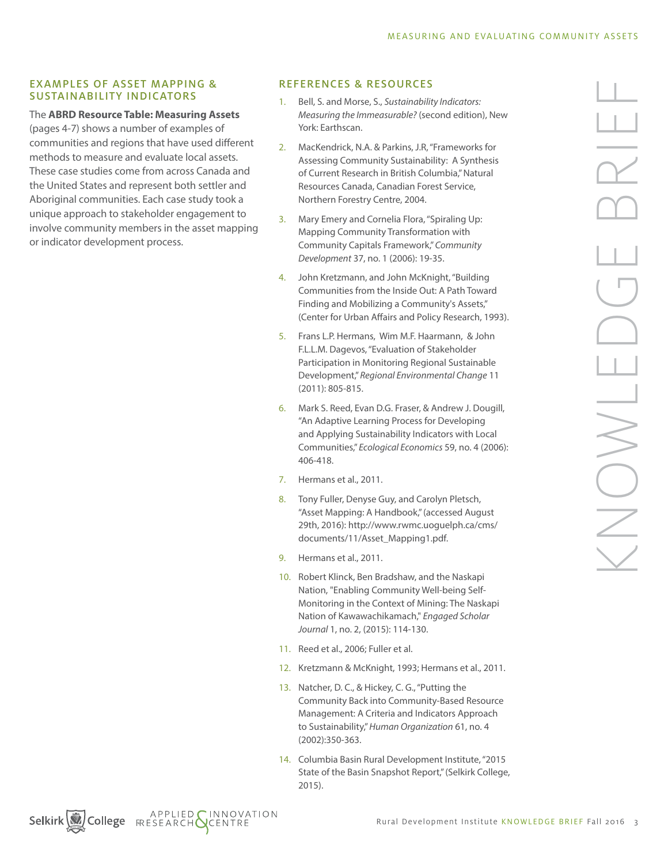#### EXAMPLES OF ASSET MAPPING & SUSTAINABILITY INDICATORS

#### The **ABRD Resource Table: Measuring Assets**

(pages 4-7) shows a number of examples of communities and regions that have used different methods to measure and evaluate local assets. These case studies come from across Canada and the United States and represent both settler and Aboriginal communities. Each case study took a unique approach to stakeholder engagement to involve community members in the asset mapping or indicator development process.

# REFERENCES & RESOURCES

- 1. Bell, S. and Morse, S., *Sustainability Indicators: Measuring the Immeasurable?* (second edition), New York: Earthscan.
- 2. MacKendrick, N.A. & Parkins, J.R, "Frameworks for Assessing Community Sustainability: A Synthesis of Current Research in British Columbia," Natural Resources Canada, Canadian Forest Service, Northern Forestry Centre, 2004.
- 3. Mary Emery and Cornelia Flora, "Spiraling Up: Mapping Community Transformation with Community Capitals Framework," *Community Development* 37, no. 1 (2006): 19-35.
- 4. John Kretzmann, and John McKnight, "Building Communities from the Inside Out: A Path Toward Finding and Mobilizing a Community's Assets," (Center for Urban Affairs and Policy Research, 1993).
- 5. Frans L.P. Hermans, Wim M.F. Haarmann, & John F.L.L.M. Dagevos, "Evaluation of Stakeholder Participation in Monitoring Regional Sustainable Development," *Regional Environmental Change* 11 (2011): 805-815.
- 6. Mark S. Reed, Evan D.G. Fraser, & Andrew J. Dougill, "An Adaptive Learning Process for Developing and Applying Sustainability Indicators with Local Communities," *Ecological Economics* 59, no. 4 (2006): 406-418.
- 7. Hermans et al., 2011.
- 8. Tony Fuller, Denyse Guy, and Carolyn Pletsch, "Asset Mapping: A Handbook," (accessed August 29th, 2016): http://www.rwmc.uoguelph.ca/cms/ documents/11/Asset\_Mapping1.pdf.
- 9. Hermans et al., 2011.
- 10. Robert Klinck, Ben Bradshaw, and the Naskapi Nation, "Enabling Community Well-being Self-Monitoring in the Context of Mining: The Naskapi Nation of Kawawachikamach," *Engaged Scholar Journal* 1, no. 2, (2015): 114-130.
- 11. Reed et al., 2006; Fuller et al.
- 12. Kretzmann & McKnight, 1993; Hermans et al., 2011.
- 13. Natcher, D. C., & Hickey, C. G., "Putting the Community Back into Community-Based Resource Management: A Criteria and Indicators Approach to Sustainability," *Human Organization* 61, no. 4 (2002):350-363.
- 14. Columbia Basin Rural Development Institute, "2015 State of the Basin Snapshot Report," (Selkirk College, 2015).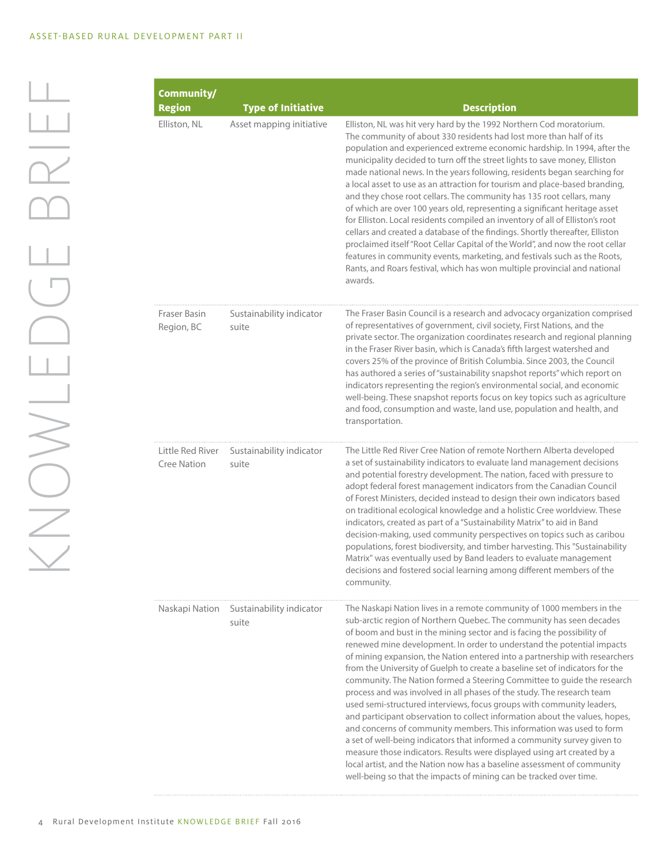| Community/                             |                                                       |                                                                                                                                                                                                                                                                                                                                                                                                                                                                                                                                                                                                                                                                                                                                                                                                                                                                                                                                                                                                                                                                                                                                                               |
|----------------------------------------|-------------------------------------------------------|---------------------------------------------------------------------------------------------------------------------------------------------------------------------------------------------------------------------------------------------------------------------------------------------------------------------------------------------------------------------------------------------------------------------------------------------------------------------------------------------------------------------------------------------------------------------------------------------------------------------------------------------------------------------------------------------------------------------------------------------------------------------------------------------------------------------------------------------------------------------------------------------------------------------------------------------------------------------------------------------------------------------------------------------------------------------------------------------------------------------------------------------------------------|
| <b>Region</b><br>Elliston, NL          | <b>Type of Initiative</b><br>Asset mapping initiative | <b>Description</b><br>Elliston, NL was hit very hard by the 1992 Northern Cod moratorium.<br>The community of about 330 residents had lost more than half of its<br>population and experienced extreme economic hardship. In 1994, after the<br>municipality decided to turn off the street lights to save money, Elliston<br>made national news. In the years following, residents began searching for<br>a local asset to use as an attraction for tourism and place-based branding,<br>and they chose root cellars. The community has 135 root cellars, many<br>of which are over 100 years old, representing a significant heritage asset<br>for Elliston. Local residents compiled an inventory of all of Elliston's root<br>cellars and created a database of the findings. Shortly thereafter, Elliston<br>proclaimed itself "Root Cellar Capital of the World", and now the root cellar<br>features in community events, marketing, and festivals such as the Roots,<br>Rants, and Roars festival, which has won multiple provincial and national<br>awards.                                                                                          |
| Fraser Basin<br>Region, BC             | Sustainability indicator<br>suite                     | The Fraser Basin Council is a research and advocacy organization comprised<br>of representatives of government, civil society, First Nations, and the<br>private sector. The organization coordinates research and regional planning<br>in the Fraser River basin, which is Canada's fifth largest watershed and<br>covers 25% of the province of British Columbia. Since 2003, the Council<br>has authored a series of "sustainability snapshot reports" which report on<br>indicators representing the region's environmental social, and economic<br>well-being. These snapshot reports focus on key topics such as agriculture<br>and food, consumption and waste, land use, population and health, and<br>transportation.                                                                                                                                                                                                                                                                                                                                                                                                                                |
| Little Red River<br><b>Cree Nation</b> | Sustainability indicator<br>suite                     | The Little Red River Cree Nation of remote Northern Alberta developed<br>a set of sustainability indicators to evaluate land management decisions<br>and potential forestry development. The nation, faced with pressure to<br>adopt federal forest management indicators from the Canadian Council<br>of Forest Ministers, decided instead to design their own indicators based<br>on traditional ecological knowledge and a holistic Cree worldview. These<br>indicators, created as part of a "Sustainability Matrix" to aid in Band<br>decision-making, used community perspectives on topics such as caribou<br>populations, forest biodiversity, and timber harvesting. This "Sustainability<br>Matrix" was eventually used by Band leaders to evaluate management<br>decisions and fostered social learning among different members of the<br>community.                                                                                                                                                                                                                                                                                               |
| Naskapi Nation                         | Sustainability indicator<br>suite                     | The Naskapi Nation lives in a remote community of 1000 members in the<br>sub-arctic region of Northern Quebec. The community has seen decades<br>of boom and bust in the mining sector and is facing the possibility of<br>renewed mine development. In order to understand the potential impacts<br>of mining expansion, the Nation entered into a partnership with researchers<br>from the University of Guelph to create a baseline set of indicators for the<br>community. The Nation formed a Steering Committee to guide the research<br>process and was involved in all phases of the study. The research team<br>used semi-structured interviews, focus groups with community leaders,<br>and participant observation to collect information about the values, hopes,<br>and concerns of community members. This information was used to form<br>a set of well-being indicators that informed a community survey given to<br>measure those indicators. Results were displayed using art created by a<br>local artist, and the Nation now has a baseline assessment of community<br>well-being so that the impacts of mining can be tracked over time. |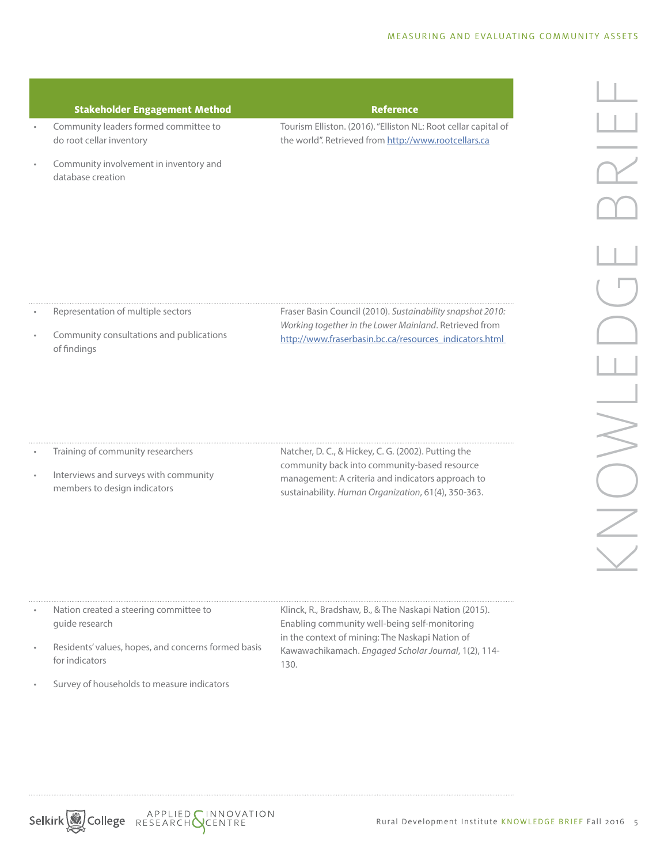## **Stakeholder Engagement Method Reference**

• Community leaders formed committee to do root cellar inventory

Tourism Elliston. (2016). "Elliston NL: Root cellar capital of the world". Retrieved from http://www.rootcellars.ca

• Community involvement in inventory and database creation

- Representation of multiple sectors
- Community consultations and publications of findings

Fraser Basin Council (2010). *Sustainability snapshot 2010: Working together in the Lower Mainland*. Retrieved from http://www.fraserbasin.bc.ca/resources\_indicators.html

- Training of community researchers
- Interviews and surveys with community members to design indicators

Natcher, D. C., & Hickey, C. G. (2002). Putting the community back into community-based resource management: A criteria and indicators approach to sustainability. *Human Organization*, 61(4), 350-363.

• Nation created a steering committee to guide research

- Residents' values, hopes, and concerns formed basis for indicators
- Survey of households to measure indicators

Klinck, R., Bradshaw, B., & The Naskapi Nation (2015). Enabling community well-being self-monitoring in the context of mining: The Naskapi Nation of Kawawachikamach. *Engaged Scholar Journal*, 1(2), 114- 130.

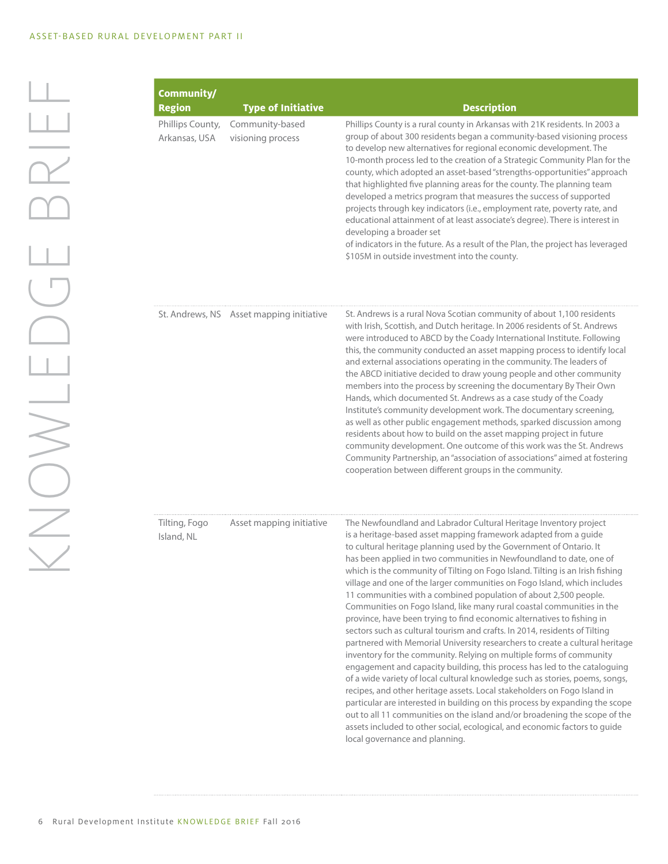| Community/                        |                                          |                                                                                                                                                                                                                                                                                                                                                                                                                                                                                                                                                                                                                                                                                                                                                                                                                                                                                                                                                                                                                                                                                                                                                                                                                                                                                                                                                                                                                                      |
|-----------------------------------|------------------------------------------|--------------------------------------------------------------------------------------------------------------------------------------------------------------------------------------------------------------------------------------------------------------------------------------------------------------------------------------------------------------------------------------------------------------------------------------------------------------------------------------------------------------------------------------------------------------------------------------------------------------------------------------------------------------------------------------------------------------------------------------------------------------------------------------------------------------------------------------------------------------------------------------------------------------------------------------------------------------------------------------------------------------------------------------------------------------------------------------------------------------------------------------------------------------------------------------------------------------------------------------------------------------------------------------------------------------------------------------------------------------------------------------------------------------------------------------|
| <b>Region</b>                     | <b>Type of Initiative</b>                | <b>Description</b>                                                                                                                                                                                                                                                                                                                                                                                                                                                                                                                                                                                                                                                                                                                                                                                                                                                                                                                                                                                                                                                                                                                                                                                                                                                                                                                                                                                                                   |
| Phillips County,<br>Arkansas, USA | Community-based<br>visioning process     | Phillips County is a rural county in Arkansas with 21K residents. In 2003 a<br>group of about 300 residents began a community-based visioning process<br>to develop new alternatives for regional economic development. The<br>10-month process led to the creation of a Strategic Community Plan for the<br>county, which adopted an asset-based "strengths-opportunities" approach<br>that highlighted five planning areas for the county. The planning team<br>developed a metrics program that measures the success of supported<br>projects through key indicators (i.e., employment rate, poverty rate, and<br>educational attainment of at least associate's degree). There is interest in<br>developing a broader set<br>of indicators in the future. As a result of the Plan, the project has leveraged<br>\$105M in outside investment into the county.                                                                                                                                                                                                                                                                                                                                                                                                                                                                                                                                                                    |
|                                   | St. Andrews, NS Asset mapping initiative | St. Andrews is a rural Nova Scotian community of about 1,100 residents<br>with Irish, Scottish, and Dutch heritage. In 2006 residents of St. Andrews<br>were introduced to ABCD by the Coady International Institute. Following<br>this, the community conducted an asset mapping process to identify local<br>and external associations operating in the community. The leaders of<br>the ABCD initiative decided to draw young people and other community<br>members into the process by screening the documentary By Their Own<br>Hands, which documented St. Andrews as a case study of the Coady<br>Institute's community development work. The documentary screening,<br>as well as other public engagement methods, sparked discussion among<br>residents about how to build on the asset mapping project in future<br>community development. One outcome of this work was the St. Andrews<br>Community Partnership, an "association of associations" aimed at fostering<br>cooperation between different groups in the community.                                                                                                                                                                                                                                                                                                                                                                                            |
| Tilting, Fogo<br>Island, NL       | Asset mapping initiative                 | The Newfoundland and Labrador Cultural Heritage Inventory project<br>is a heritage-based asset mapping framework adapted from a guide<br>to cultural heritage planning used by the Government of Ontario. It<br>has been applied in two communities in Newfoundland to date, one of<br>which is the community of Tilting on Fogo Island. Tilting is an Irish fishing<br>village and one of the larger communities on Fogo Island, which includes<br>11 communities with a combined population of about 2,500 people.<br>Communities on Fogo Island, like many rural coastal communities in the<br>province, have been trying to find economic alternatives to fishing in<br>sectors such as cultural tourism and crafts. In 2014, residents of Tilting<br>partnered with Memorial University researchers to create a cultural heritage<br>inventory for the community. Relying on multiple forms of community<br>engagement and capacity building, this process has led to the cataloguing<br>of a wide variety of local cultural knowledge such as stories, poems, songs,<br>recipes, and other heritage assets. Local stakeholders on Fogo Island in<br>particular are interested in building on this process by expanding the scope<br>out to all 11 communities on the island and/or broadening the scope of the<br>assets included to other social, ecological, and economic factors to guide<br>local governance and planning. |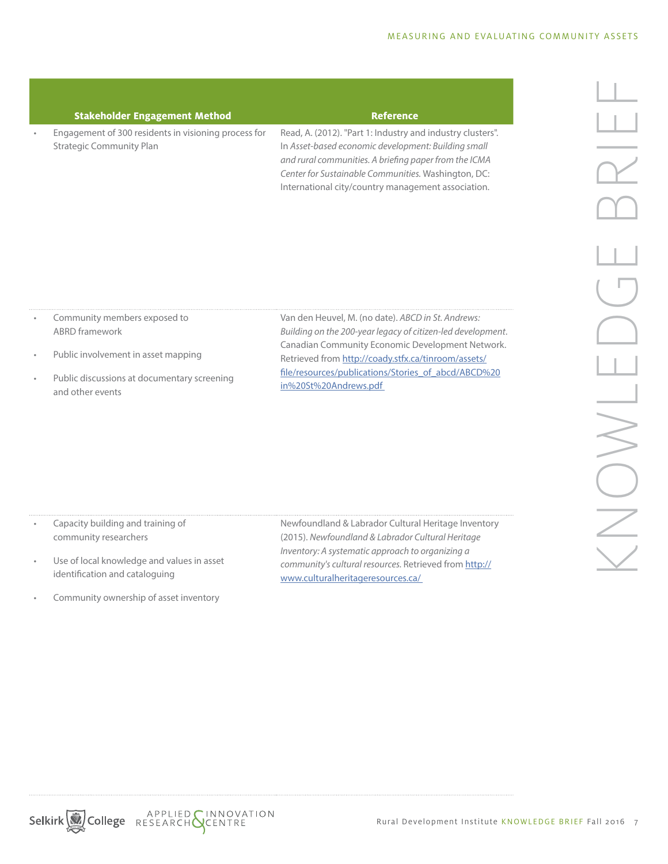| <b>Stakeholder Engagement Method</b>                                                    | <b>Reference</b>                                                                                                                                                                                                                                                                        |
|-----------------------------------------------------------------------------------------|-----------------------------------------------------------------------------------------------------------------------------------------------------------------------------------------------------------------------------------------------------------------------------------------|
| Engagement of 300 residents in visioning process for<br><b>Strategic Community Plan</b> | Read, A. (2012). "Part 1: Industry and industry clusters".<br>In Asset-based economic development: Building small<br>and rural communities. A briefing paper from the ICMA<br>Center for Sustainable Communities. Washington, DC:<br>International city/country management association. |

- Community members exposed to ABRD framework
- Public involvement in asset mapping
- Public discussions at documentary screening and other events

Van den Heuvel, M. (no date). *ABCD in St. Andrews: Building on the 200-year legacy of citizen-led development*. Canadian Community Economic Development Network. Retrieved from http://coady.stfx.ca/tinroom/assets/ file/resources/publications/Stories\_of\_abcd/ABCD%20 in%20St%20Andrews.pdf

- Capacity building and training of community researchers
- Use of local knowledge and values in asset identification and cataloguing
- Community ownership of asset inventory

Newfoundland & Labrador Cultural Heritage Inventory (2015). *Newfoundland & Labrador Cultural Heritage Inventory: A systematic approach to organizing a community's cultural resources.* Retrieved from http:// www.culturalheritageresources.ca/



Selkirk<sup>3</sup>/2018 APPLIED SENDOVATION